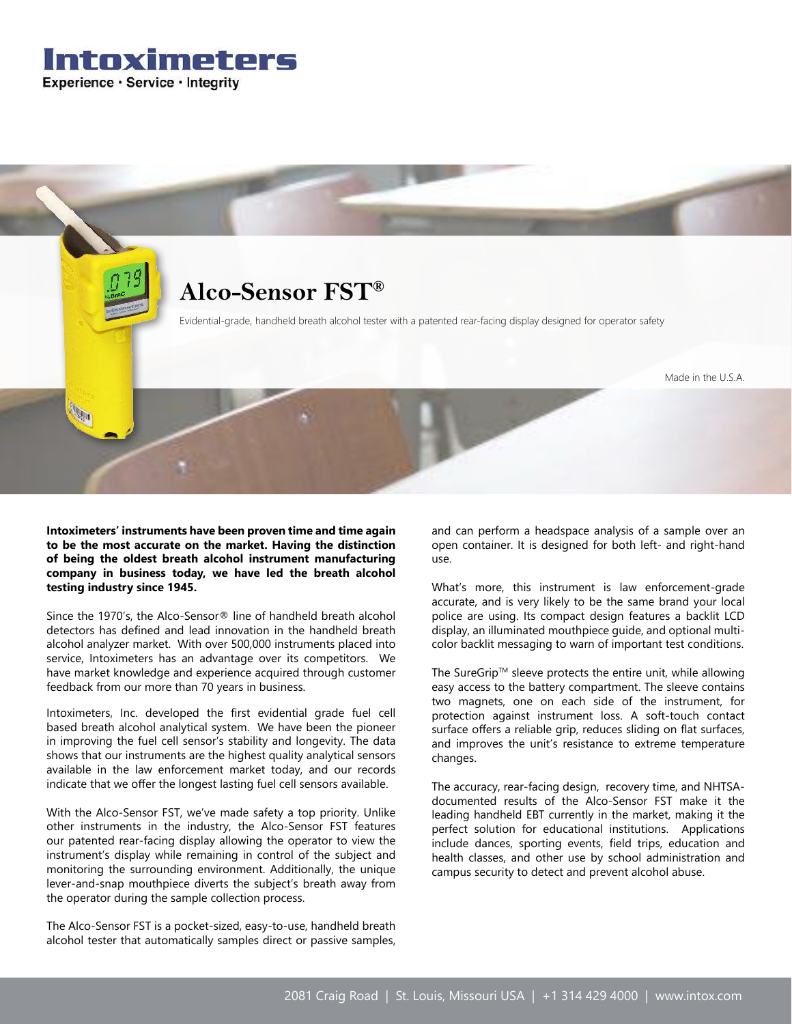



**Intoximeters' instruments have been proven time and time again to be the most accurate on the market. Having the distinction of being the oldest breath alcohol instrument manufacturing company in business today, we have led the breath alcohol testing industry since 1945.**

Since the 1970's, the Alco-Sensor® line of handheld breath alcohol detectors has defined and lead innovation in the handheld breath alcohol analyzer market. With over 500,000 instruments placed into service, Intoximeters has an advantage over its competitors. We have market knowledge and experience acquired through customer feedback from our more than 70 years in business.

Intoximeters, Inc. developed the first evidential grade fuel cell based breath alcohol analytical system. We have been the pioneer in improving the fuel cell sensor's stability and longevity. The data shows that our instruments are the highest quality analytical sensors available in the law enforcement market today, and our records indicate that we offer the longest lasting fuel cell sensors available.

With the Alco-Sensor FST, we've made safety a top priority. Unlike other instruments in the industry, the Alco-Sensor FST features our patented rear-facing display allowing the operator to view the instrument's display while remaining in control of the subject and monitoring the surrounding environment. Additionally, the unique lever-and-snap mouthpiece diverts the subject's breath away from the operator during the sample collection process.

The Alco-Sensor FST is a pocket-sized, easy-to-use, handheld breath alcohol tester that automatically samples direct or passive samples, and can perform a headspace analysis of a sample over an open container. It is designed for both left- and right-hand use.

What's more, this instrument is law enforcement-grade accurate, and is very likely to be the same brand your local police are using. Its compact design features a backlit LCD display, an illuminated mouthpiece guide, and optional multicolor backlit messaging to warn of important test conditions.

The SureGrip™ sleeve protects the entire unit, while allowing easy access to the battery compartment. The sleeve contains two magnets, one on each side of the instrument, for protection against instrument loss. A soft-touch contact surface offers a reliable grip, reduces sliding on flat surfaces, and improves the unit's resistance to extreme temperature changes.

The accuracy, rear-facing design, recovery time, and NHTSAdocumented results of the Alco-Sensor FST make it the leading handheld EBT currently in the market, making it the perfect solution for educational institutions. Applications include dances, sporting events, field trips, education and health classes, and other use by school administration and campus security to detect and prevent alcohol abuse.